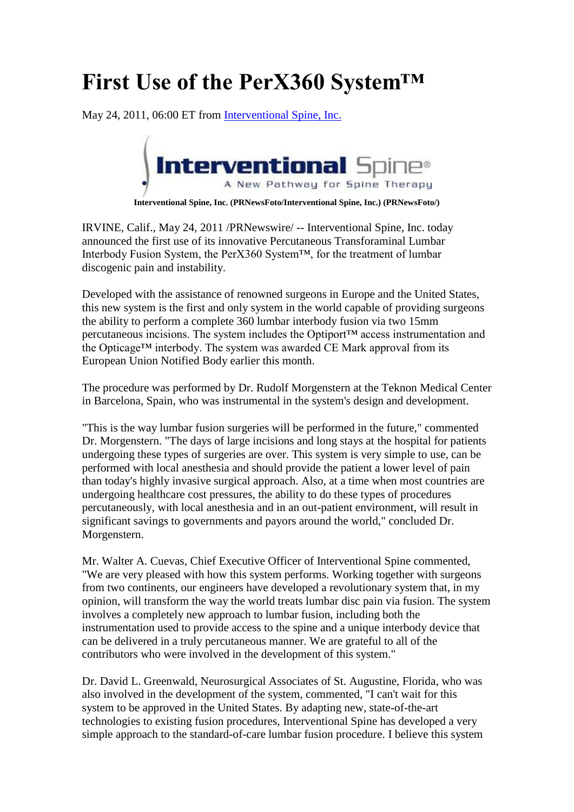## **First Use of the PerX360 System™**

May 24, 2011, 06:00 ET from [Interventional Spine, Inc.](http://www.prnewswire.com/news/interventional-spine-inc)



**Interventional Spine, Inc. (PRNewsFoto/Interventional Spine, Inc.) (PRNewsFoto/)**

IRVINE, Calif., May 24, 2011 /PRNewswire/ -- Interventional Spine, Inc. today announced the first use of its innovative Percutaneous Transforaminal Lumbar Interbody Fusion System, the PerX360 System™, for the treatment of lumbar discogenic pain and instability.

Developed with the assistance of renowned surgeons in Europe and the United States, this new system is the first and only system in the world capable of providing surgeons the ability to perform a complete 360 lumbar interbody fusion via two 15mm percutaneous incisions. The system includes the Optiport™ access instrumentation and the Opticage™ interbody. The system was awarded CE Mark approval from its European Union Notified Body earlier this month.

The procedure was performed by Dr. Rudolf Morgenstern at the Teknon Medical Center in Barcelona, Spain, who was instrumental in the system's design and development.

"This is the way lumbar fusion surgeries will be performed in the future," commented Dr. Morgenstern. "The days of large incisions and long stays at the hospital for patients undergoing these types of surgeries are over. This system is very simple to use, can be performed with local anesthesia and should provide the patient a lower level of pain than today's highly invasive surgical approach. Also, at a time when most countries are undergoing healthcare cost pressures, the ability to do these types of procedures percutaneously, with local anesthesia and in an out-patient environment, will result in significant savings to governments and payors around the world," concluded Dr. Morgenstern.

Mr. Walter A. Cuevas, Chief Executive Officer of Interventional Spine commented, "We are very pleased with how this system performs. Working together with surgeons from two continents, our engineers have developed a revolutionary system that, in my opinion, will transform the way the world treats lumbar disc pain via fusion. The system involves a completely new approach to lumbar fusion, including both the instrumentation used to provide access to the spine and a unique interbody device that can be delivered in a truly percutaneous manner. We are grateful to all of the contributors who were involved in the development of this system."

Dr. David L. Greenwald, Neurosurgical Associates of St. Augustine, Florida, who was also involved in the development of the system, commented, "I can't wait for this system to be approved in the United States. By adapting new, state-of-the-art technologies to existing fusion procedures, Interventional Spine has developed a very simple approach to the standard-of-care lumbar fusion procedure. I believe this system